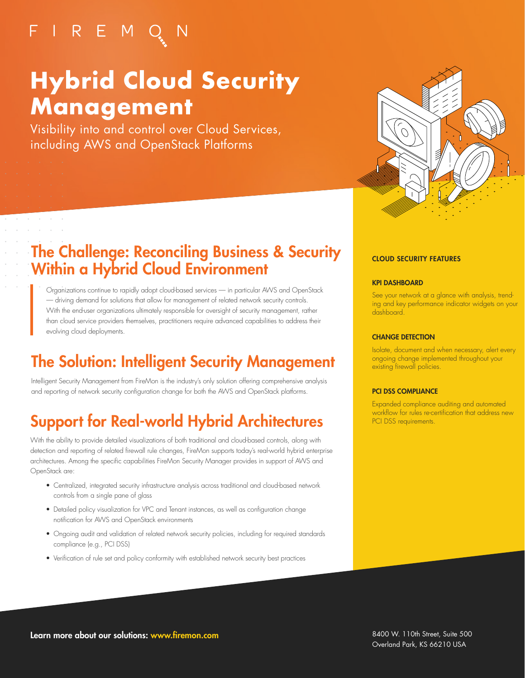## FIREMQN

 $\alpha$  ,  $\beta$  ,  $\alpha$ 

# **Hybrid Cloud Security Management**

Visibility into and control over Cloud Services, including AWS and OpenStack Platforms



### The Challenge: Reconciling Business & Security Within a Hybrid Cloud Environment

Organizations continue to rapidly adopt cloud-based services — in particular AWS and OpenStack — driving demand for solutions that allow for management of related network security controls. With the end-user organizations ultimately responsible for oversight of security management, rather than cloud service providers themselves, practitioners require advanced capabilities to address their evolving cloud deployments.

### The Solution: Intelligent Security Management

Intelligent Security Management from FireMon is the industry's only solution offering comprehensive analysis and reporting of network security configuration change for both the AWS and OpenStack platforms.

### Support for Real-world Hybrid Architectures

With the ability to provide detailed visualizations of both traditional and cloud-based controls, along with detection and reporting of related firewall rule changes, FireMon supports today's real-world hybrid enterprise architectures. Among the specific capabilities FireMon Security Manager provides in support of AWS and OpenStack are:

- Centralized, integrated security infrastructure analysis across traditional and cloud-based network controls from a single pane of glass
- Detailed policy visualization for VPC and Tenant instances, as well as configuration change notification for AWS and OpenStack environments
- Ongoing audit and validation of related network security policies, including for required standards compliance (e.g., PCI DSS)
- Verification of rule set and policy conformity with established network security best practices

#### CLOUD SECURITY FEATURES

#### KPI DASHBOARD

See your network at a glance with analysis, trending and key performance indicator widgets on your dashboard.

#### CHANGE DETECTION

Isolate, document and when necessary, alert every ongoing change implemented throughout your existing firewall policies.

#### PCI DSS COMPLIANCE

Expanded compliance auditing and automated workflow for rules re-certification that address new PCI DSS requirements.